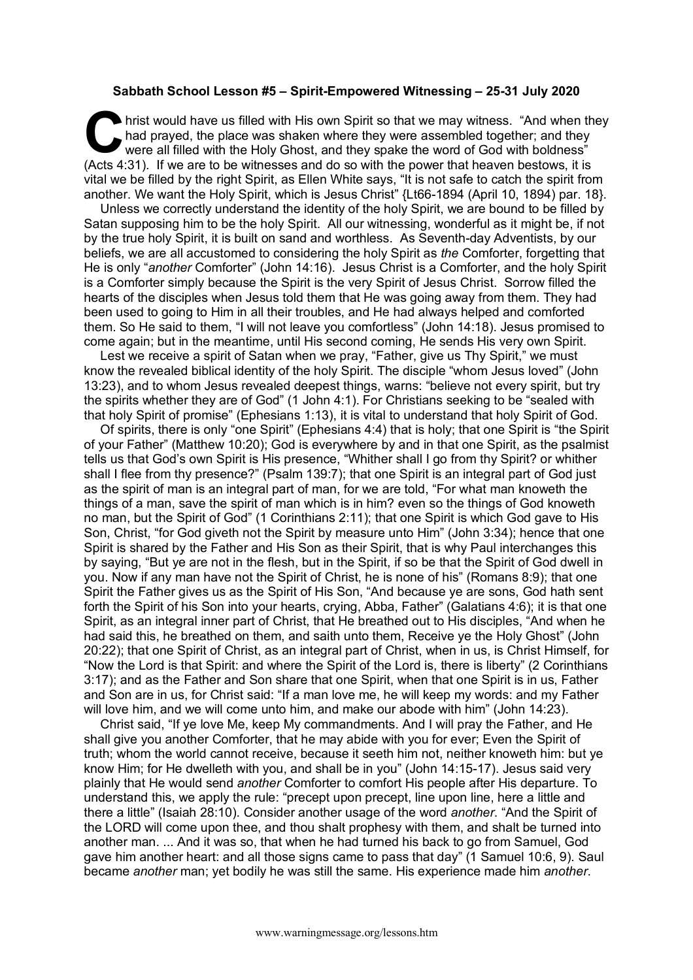## **Sabbath School Lesson #5 – Spirit-Empowered Witnessing – 25-31 July 2020**

hrist would have us filled with His own Spirit so that we may witness. "And when they had prayed, the place was shaken where they were assembled together; and they were all filled with the Holy Ghost, and they spake the wo had prayed, the place was shaken where they were assembled together; and they were all filled with the Holy Ghost, and they spake the word of God with boldness" (Acts 4:31). If we are to be witnesses and do so with the power that heaven bestows, it is vital we be filled by the right Spirit, as Ellen White says, "It is not safe to catch the spirit from another. We want the Holy Spirit, which is Jesus Christ" {Lt66-1894 (April 10, 1894) par. 18}.

Unless we correctly understand the identity of the holy Spirit, we are bound to be filled by Satan supposing him to be the holy Spirit. All our witnessing, wonderful as it might be, if not by the true holy Spirit, it is built on sand and worthless. As Seventh-day Adventists, by our beliefs, we are all accustomed to considering the holy Spirit as *the* Comforter, forgetting that He is only "*another* Comforter" (John 14:16). Jesus Christ is a Comforter, and the holy Spirit is a Comforter simply because the Spirit is the very Spirit of Jesus Christ. Sorrow filled the hearts of the disciples when Jesus told them that He was going away from them. They had been used to going to Him in all their troubles, and He had always helped and comforted them. So He said to them, "I will not leave you comfortless" (John 14:18). Jesus promised to come again; but in the meantime, until His second coming, He sends His very own Spirit.

Lest we receive a spirit of Satan when we pray, "Father, give us Thy Spirit," we must know the revealed biblical identity of the holy Spirit. The disciple "whom Jesus loved" (John 13:23), and to whom Jesus revealed deepest things, warns: "believe not every spirit, but try the spirits whether they are of God" (1 John 4:1). For Christians seeking to be "sealed with that holy Spirit of promise" (Ephesians 1:13), it is vital to understand that holy Spirit of God.

Of spirits, there is only "one Spirit" (Ephesians 4:4) that is holy; that one Spirit is "the Spirit of your Father" (Matthew 10:20); God is everywhere by and in that one Spirit, as the psalmist tells us that God's own Spirit is His presence, "Whither shall I go from thy Spirit? or whither shall I flee from thy presence?" (Psalm 139:7); that one Spirit is an integral part of God just as the spirit of man is an integral part of man, for we are told, "For what man knoweth the things of a man, save the spirit of man which is in him? even so the things of God knoweth no man, but the Spirit of God" (1 Corinthians 2:11); that one Spirit is which God gave to His Son, Christ, "for God giveth not the Spirit by measure unto Him" (John 3:34); hence that one Spirit is shared by the Father and His Son as their Spirit, that is why Paul interchanges this by saying, "But ye are not in the flesh, but in the Spirit, if so be that the Spirit of God dwell in you. Now if any man have not the Spirit of Christ, he is none of his" (Romans 8:9); that one Spirit the Father gives us as the Spirit of His Son, "And because ye are sons, God hath sent forth the Spirit of his Son into your hearts, crying, Abba, Father" (Galatians 4:6); it is that one Spirit, as an integral inner part of Christ, that He breathed out to His disciples, "And when he had said this, he breathed on them, and saith unto them, Receive ye the Holy Ghost" (John 20:22); that one Spirit of Christ, as an integral part of Christ, when in us, is Christ Himself, for "Now the Lord is that Spirit: and where the Spirit of the Lord is, there is liberty" (2 Corinthians 3:17); and as the Father and Son share that one Spirit, when that one Spirit is in us, Father and Son are in us, for Christ said: "If a man love me, he will keep my words: and my Father will love him, and we will come unto him, and make our abode with him" (John 14:23).

Christ said, "If ye love Me, keep My commandments. And I will pray the Father, and He shall give you another Comforter, that he may abide with you for ever; Even the Spirit of truth; whom the world cannot receive, because it seeth him not, neither knoweth him: but ye know Him; for He dwelleth with you, and shall be in you" (John 14:15-17). Jesus said very plainly that He would send *another* Comforter to comfort His people after His departure. To understand this, we apply the rule: "precept upon precept, line upon line, here a little and there a little" (Isaiah 28:10). Consider another usage of the word *another*. "And the Spirit of the LORD will come upon thee, and thou shalt prophesy with them, and shalt be turned into another man. ... And it was so, that when he had turned his back to go from Samuel, God gave him another heart: and all those signs came to pass that day" (1 Samuel 10:6, 9). Saul became *another* man; yet bodily he was still the same. His experience made him *another*.